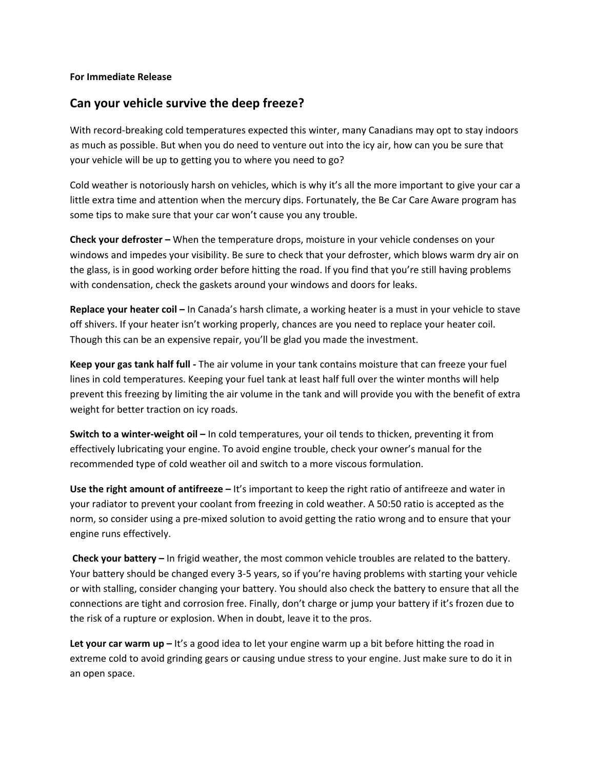## **For Immediate Release**

## **Can your vehicle survive the deep freeze?**

With record-breaking cold temperatures expected this winter, many Canadians may opt to stay indoors as much as possible. But when you do need to venture out into the icy air, how can you be sure that your vehicle will be up to getting you to where you need to go?

Cold weather is notoriously harsh on vehicles, which is why it's all the more important to give your car a little extra time and attention when the mercury dips. Fortunately, the Be Car Care Aware program has some tips to make sure that your car won't cause you any trouble.

**Check your defroster –** When the temperature drops, moisture in your vehicle condenses on your windows and impedes your visibility. Be sure to check that your defroster, which blows warm dry air on the glass, is in good working order before hitting the road. If you find that you're still having problems with condensation, check the gaskets around your windows and doors for leaks.

**Replace your heater coil –** In Canada's harsh climate, a working heater is a must in your vehicle to stave off shivers. If your heater isn't working properly, chances are you need to replace your heater coil. Though this can be an expensive repair, you'll be glad you made the investment.

**Keep your gas tank half full ‐** The air volume in your tank contains moisture that can freeze your fuel lines in cold temperatures. Keeping your fuel tank at least half full over the winter months will help prevent this freezing by limiting the air volume in the tank and will provide you with the benefit of extra weight for better traction on icy roads.

**Switch to a winter‐weight oil –** In cold temperatures, your oil tends to thicken, preventing it from effectively lubricating your engine. To avoid engine trouble, check your owner's manual for the recommended type of cold weather oil and switch to a more viscous formulation.

**Use the right amount of antifreeze –** It's important to keep the right ratio of antifreeze and water in your radiator to prevent your coolant from freezing in cold weather. A 50:50 ratio is accepted as the norm, so consider using a pre‐mixed solution to avoid getting the ratio wrong and to ensure that your engine runs effectively.

**Check your battery –** In frigid weather, the most common vehicle troubles are related to the battery. Your battery should be changed every 3‐5 years, so if you're having problems with starting your vehicle or with stalling, consider changing your battery. You should also check the battery to ensure that all the connections are tight and corrosion free. Finally, don't charge or jump your battery if it's frozen due to the risk of a rupture or explosion. When in doubt, leave it to the pros.

**Let your car warm up –** It's a good idea to let your engine warm up a bit before hitting the road in extreme cold to avoid grinding gears or causing undue stress to your engine. Just make sure to do it in an open space.